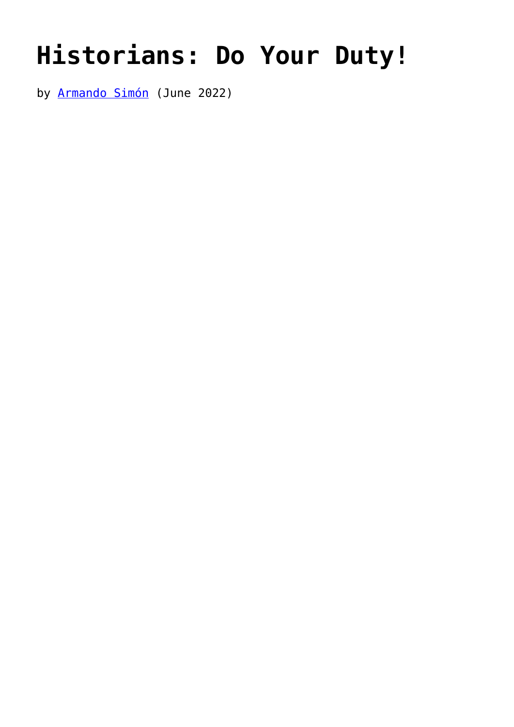## **[Historians: Do Your Duty!](https://www.newenglishreview.org/articles/historians-do-your-duty/)**

by **Armando Simón** (June 2022)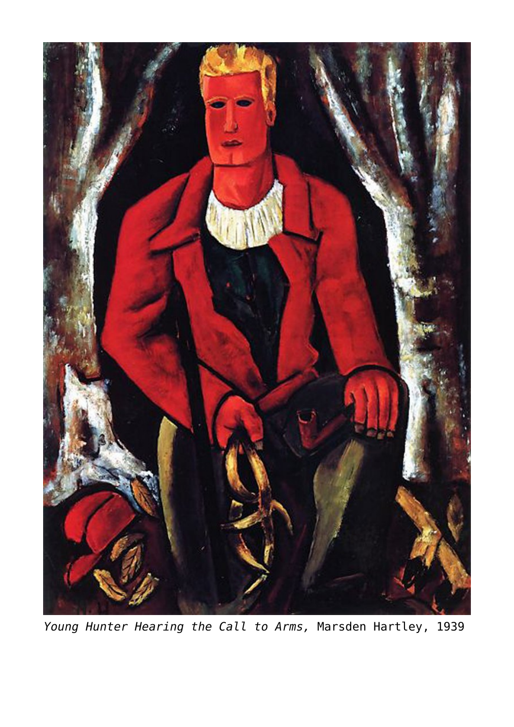

*Young Hunter Hearing the Call to Arms,* Marsden Hartley, 1939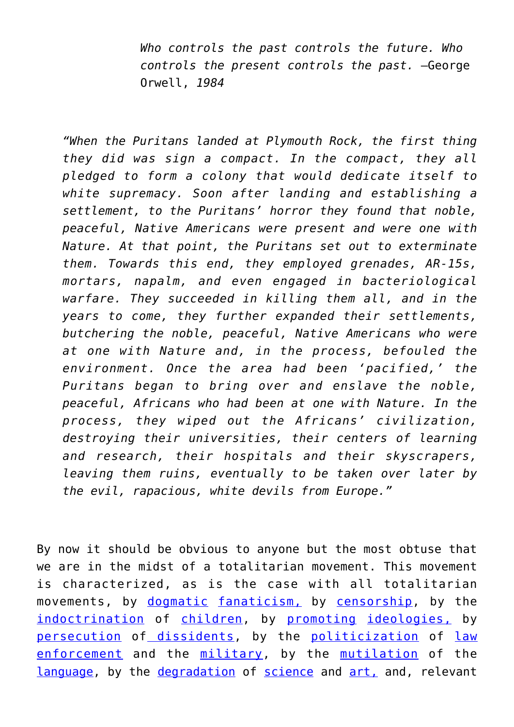*Who controls the past controls the future. Who controls the present controls the past.* —George Orwell, *1984*

*"When the Puritans landed at Plymouth Rock, the first thing they did was sign a compact. In the compact, they all pledged to form a colony that would dedicate itself to white supremacy. Soon after landing and establishing a settlement, to the Puritans' horror they found that noble, peaceful, Native Americans were present and were one with Nature. At that point, the Puritans set out to exterminate them. Towards this end, they employed grenades, AR-15s, mortars, napalm, and even engaged in bacteriological warfare. They succeeded in killing them all, and in the years to come, they further expanded their settlements, butchering the noble, peaceful, Native Americans who were at one with Nature and, in the process, befouled the environment. Once the area had been 'pacified,' the Puritans began to bring over and enslave the noble, peaceful, Africans who had been at one with Nature. In the process, they wiped out the Africans' civilization, destroying their universities, their centers of learning and research, their hospitals and their skyscrapers, leaving them ruins, eventually to be taken over later by the evil, rapacious, white devils from Europe."*

By now it should be obvious to anyone but the most obtuse that we are in the midst of a totalitarian movement. This movement is characterized, as is the case with all totalitarian movements, by [dogmatic](https://www.takimag.com/article/the-cults-that-are-killing-us/) [fanaticism,](https://americanwirenews.com/canadian-pm-doubles-down-after-shes-slammed-for-claiming-honk-honk-is-code-for-heil-hitler/?utm_medium=Newsletter&utm_source=Get%20Response&utm_term=EMAIL&utm_content=Newsletter&utm_campaign=bizpac) by [censorship,](https://humanevents.com/2021/07/29/make-no-mistake-you-are-living-under-the-perfect-censorship/) by the [indoctrination](https://thefederalist.com/2021/09/28/loudoun-county-teacher-vows-to-incorporate-critical-race-theory-into-classroom/?utm_source=newsletter&utm_medium=email&utm_campaign=the_federalist_daily_briefing_2021_09_28&utm_term=2021-09-28) of [children](https://www.washingtonexaminer.com/opinion/anti-white-bias-in-the-classroom-is-real-and-its-toxic?utm_source=deployer&utm_medium=email&utm_campaign=Beltway+Confidential&utm_term=Postup&utm_content=20210916152214), by [promoting](https://dailycaller.com/2018/01/15/michael-rectenwald-nyu-lawsuit/) [ideologies,](https://americanactionnews.com/media/2022/01/05/nascar-goes-woke-strips-lets-go-brandon-endorsement-over-politics/) by [persecution](https://www.americanthinker.com/articles/2018/10/conservative_christians_unwelcome_at_the_university_of_oklahoma.html) of [dissidents](https://www.breitbart.com/tech/2019/07/01/taylor-university-president-quits-after-pence-invite-controversy/), by the [politicization](https://www.thegatewaypundit.com/2022/03/us-army-announces-mandatory-training-pronouns-gender-dysphoria-russia-invades-ukraine-surrounds-kiev/?utm_source=Email&utm_medium=the-gateway-pundit&utm_campaign=dailyam&utm_content=daily) of [law](https://www.thegatewaypundit.com/2022/03/fbi-raids-home-proud-boy-founder-enrique-tarrio-6-raid-drag-home-underwear-arrest-despite-not-dc-jan-6-protests-media-notified-raid/?utm_source=Email&utm_medium=the-gateway-pundit&utm_campaign=dailypm&utm_content=daily) [enforcement](https://www.thegatewaypundit.com/2021/08/antifa-terrorists-violently-attack-christian-families-young-children-gathered-pray-portland-waterfront-police-called-didnt-respond-video/?utm_source=Email&utm_medium=the-gateway-pundit&utm_campaign=dailyam&utm_content=daily) and the [military,](https://www.frontpagemag.com/fpm/2022/01/soros-general-demands-purge-military-daniel-greenfield/) by the [mutilation](https://www.bizpacreview.com/2022/02/09/bprs-best-political-cartoons-insurrection-another-word-stripped-of-its-meaning-1198729/?utm_medium=Newsletter&utm_source=Get%20Response&utm_term=EMAIL&utm_content=Newsletter&utm_campaign=bizpac) of the [language](https://www.americanthinker.com/articles/2022/02/the_lefts_orwellian_newspeak_the_equity_diversity_and_inclusion_delusion.html), by the [degradation](https://thefederalist.com/2022/03/04/chicago-private-school-injected-race-into-physics-class-then-tracked-whether-the-indoctrination-worked/?utm_source=rss&utm_medium=rss&utm_campaign=chicago-private-school-injected-race-into-physics-class-then-tracked-whether-the-indoctrination-worked&utm_term=2022-03-04) of [science](https://quillette.com/2020/10/04/at-dalhousie-university-ideology-comes-first-science-comes-second/) and [art,](https://www.washingtonexaminer.com/catholic-university-of-america-hangs-painting-appearing-to-depict-george-floyd-as-jesus-christ?utm_source=Examiner%20Today_11/23/2021&utm_medium=email&utm_campaign=WEX_Examiner%20Today&rid=10166&env=f18ba12794ae23ff036971012e3aa7c08fe2d21269a63362c4947ed2712768ca) and, relevant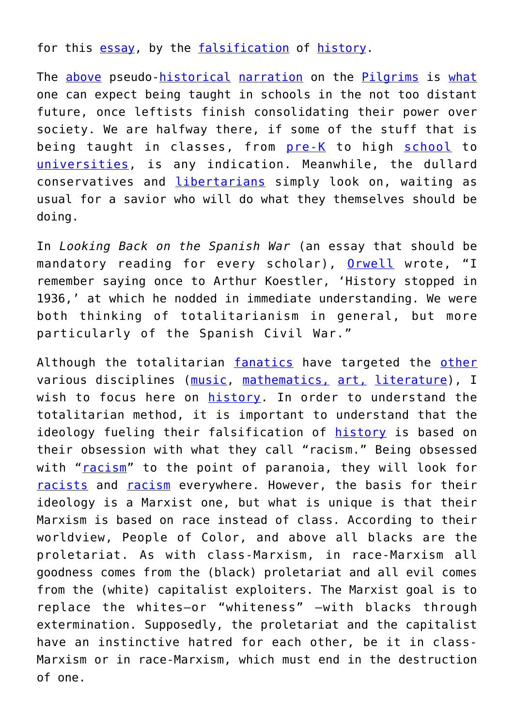for this [essay](https://www.takimag.com/article/genocidal-pilgrims/), by the [falsification](https://www.amazon.com/War-History-Conspiracy-Rewrite-Americas/dp/1684511704/ref=sr_1_1?crid=2TR5HTVPNVZA8&keywords=the+war+on+history&qid=1649188613&sprefix=the+%2Caps%2C482&sr=8-1) of [history](https://aeon.co/essays/how-does-an-ancient-greek-cup-challenge-anti-black-racism?utm_source=Aeon+Newsletter&utm_campaign=d24b1e3ecc-EMAIL_CAMPAIGN_2022_03_17_02_26&utm_medium=email&utm_term=0_411a82e59d-d24b1e3ecc-69519345).

The [above](https://www.newsbusters.org/blogs/nb/jeffrey-lord/2021/11/27/thanksgiving-waukesha-liberal-media-censor-history) pseudo-[historical](https://www.independent.co.uk/news/world/americas/mexico-skulls-found-guatemala-border-b2067515.html) [narration](https://www.takimag.com/article/have-a-historically-accurate-thanksgiving/) on the [Pilgrims](https://thefederalist.com/2021/11/25/no-thanksgiving-isnt-about-genocide-and-violence/?utm_source=rss&utm_medium=rss&utm_campaign=no-thanksgiving-isnt-about-genocide-and-violence&utm_term=2021-11-25) is [what](https://www.newsbusters.org/blogs/nb/jeffrey-lord/2021/11/27/thanksgiving-waukesha-liberal-media-censor-history) one can expect being taught in schools in the not too distant future, once leftists finish consolidating their power over society. We are halfway there, if some of the stuff that is being taught in classes, from [pre-K](https://dailycaller.com/2022/01/31/apple-oklahoma-school-board-racial-justice-guide-pre-k-students-critical-race-theory/?utm_medium=email&pnespid=tuU4UTVAbf4Ihf6cumytSILdvxa.DJ9xdrGhwuZ3pR9m74_OTMPtUxlKulS7jiTQiQ16wpxD) to high [school](https://reason.com/2022/01/31/critical-race-theory-taught-in-classroom-california/?utm_source=piano&utm_medium=email&utm_campaign=2906&pnespid=s_I6EnpYLbsQwfvNojjrCJjQuEK.Cp8nN_y_nuZr9gNmyG_I.inS10.4SDLzL4WyzKvRGtvH) to [universities,](https://notthebee.com/article/the-university-of-kansas-offers-a-class-called-angry-white-male-studies) is any indication. Meanwhile, the dullard conservatives and [libertarians](https://www.youtube.com/watch?v=bgSI-iPZ9cQ) simply look on, waiting as usual for a savior who will do what they themselves should be doing.

In *Looking Back on the Spanish War* (an essay that should be mandatory reading for every scholar), [Orwell](https://www.orwellfoundation.com/the-orwell-foundation/orwell/essays-and-other-works/looking-back-on-the-spanish-war/) wrote, "I remember saying once to Arthur Koestler, 'History stopped in 1936,' at which he nodded in immediate understanding. We were both thinking of totalitarianism in general, but more particularly of the Spanish Civil War."

Although the totalitarian [fanatics](https://www.youtube.com/watch?v=NV1j-LQFEWw) have targeted the [other](https://www.washingtonexaminer.com/news/pretty-as-a-picture-portrait-slapped-with-misogyny-label-warning-of-male-gaze?utm_source=Examiner%20Today_04/13/2022&utm_medium=email&utm_campaign=WEX_Examiner%20Today&rid=10166&env=f18ba12794ae23ff036971012e3aa7c08fe2d21269a63362c4947ed2712768ca) various disciplines ([music,](https://www.city-journal.org/making-beethoven-woke) [mathematics,](https://freebeacon.com/issues/seattle-public-schools-considering-social-justice-math-curriculum/?utm_source=Freedom+Mail&utm_campaign=919f1c9e36-EMAIL_CAMPAIGN_2019_10_22_08_19_COPY_02&utm_medium=email&utm_term=0_b5e6e0e9ea-919f1c9e36-46177949) [art,](https://hyperallergic.com/383776/why-we-need-to-start-seeing-the-classical-world-in-color/) [literature](https://thefederalist.com/2020/12/31/to-further-politicize-curriculum-teachers-are-dumping-more-classic-literature/)), I wish to focus here on [history](https://www.westernjournal.com/debunking-another-liberal-lie-course-policing-didnt-begin-slavery/). In order to understand the totalitarian method, it is important to understand that the ideology fueling their falsification of [history](https://cms.frontpagemag.com/fpm/2020/07/leftists-war-cancel-american-history-joseph-klein) is based on their obsession with what they call "racism." Being obsessed with "[racism](https://notthebee.com/article/did-you-know-maps-are-racist)" to the point of paranoia, they will look for [racists](https://www.americanthinker.com/blog/2017/08/how_the_left_is_multiplying_the_definition_of_racism.html) and [racism](https://notthebee.com/article/the-new-york-timess-resident-critical-race-theorist-thinks-tipping-your-waitress-is-a-vestige-of-slavery-and-i-am-appalled-to-learn-this-so-henceforth-i-will-no-longer-be-tipping-the-waitstaf) everywhere. However, the basis for their ideology is a Marxist one, but what is unique is that their Marxism is based on race instead of class. According to their worldview, People of Color, and above all blacks are the proletariat. As with class-Marxism, in race-Marxism all goodness comes from the (black) proletariat and all evil comes from the (white) capitalist exploiters. The Marxist goal is to replace the whites—or "whiteness" —with blacks through extermination. Supposedly, the proletariat and the capitalist have an instinctive hatred for each other, be it in class-Marxism or in race-Marxism, which must end in the destruction of one.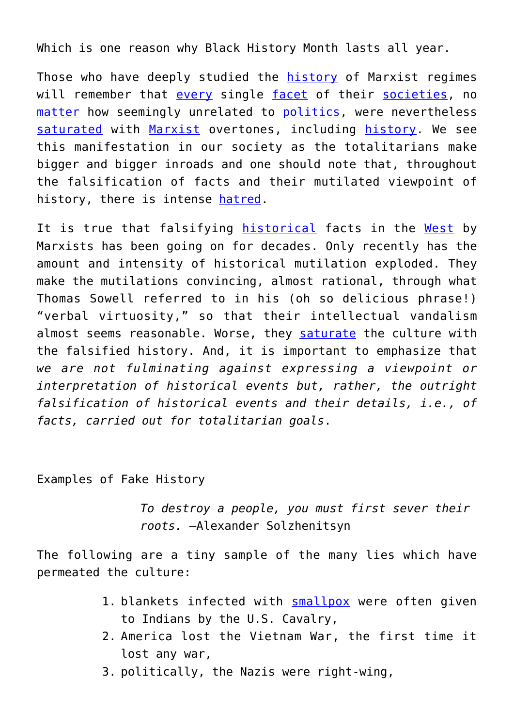Which is one reason why Black History Month lasts all year.

Those who have deeply studied the [history](https://www.amazon.com/The-Great-Terror-Robert-Conquest-audiobook/dp/B0028MK7WE/ref=sr_1_1?crid=2D47WJ98IJ7WW&keywords=the+great+terror&qid=1649188697&sprefix=the+great%2Caps%2C112&sr=8-1) of Marxist regimes will remember that [every](https://www.amazon.com/Soviet-Mind-Russian-Culture-Communism-ebook/dp/B00EQUPGRW/ref=sr_1_3?crid=1PN7Q21HJRDX7&keywords=science+under+communism&qid=1648544061&s=books&sprefix=science+under+communism%2Cstripbooks%2C84&sr=1-3) single [facet](https://www.amazon.com/Under-Stalin-Matthew-Cullerne-Bown/dp/0841912998/ref=sr_1_1?crid=2RCNPHHVNU8BK&keywords=art+under+stalin&qid=1648544013&s=books&sprefix=art+under+stalin%2Cstripbooks%2C84&sr=1-1) of their [societies,](https://www.amazon.com/The-Great-Terror-Robert-Conquest-audiobook/dp/B0028MK7WE/ref=sr_1_1?keywords=the+great+terror+by+robert+conquest&qid=1648544658&s=books&sprefix=the+great+terror%2Cstripbooks%2C89&sr=1-1) no [matter](https://www.amazon.com/Rise-Fall-T-D-Lysenko/dp/0231031831/ref=sr_1_7?crid=1OSNV5R15ZA2M&keywords=lysenko&qid=1648544158&s=books&sprefix=lysenko%2Cstripbooks%2C90&sr=1-7) how seemingly unrelated to [politics](https://www.amazon.com/Black-Book-Communism-Crimes-Repression/dp/0674076087/ref=sr_1_4?crid=1QBXP3Q6JDCA1&keywords=literature+and+communism&qid=1648544217&s=books&sprefix=literature+%2Cstripbooks%2C94&sr=1-4), were nevertheless [saturated](https://www.amazon.com/Evolution-Marxian-Biology-Social-Scene/dp/1512809039/ref=sr_1_1?crid=2HI8X23U5GN0O&keywords=Evolution%2C+Marxian+Biology+and+the+Social+Scene&qid=1648544621&s=books&sprefix=evolution%2C+marxian+biology+and+the+social+scene%2Cstripbooks%2C92&sr=1-1) with [Marxist](https://www.amazon.com/Psychotherapy-Soviet-Union-Classic-Reprint/dp/0267631502/ref=sr_1_1?crid=66U6AVKZXM1A&keywords=Psychotherapy+in+the+Soviet+Union&qid=1648544531&s=books&sprefix=psychotherapy+in+the+soviet+union%2Cstripbooks%2C84&sr=1-1) overtones, including [history](https://www.amazon.com/s?k=the+commissar+vanishes&i=stripbooks&crid=NGO3KHURUT2G&sprefix=the+commissar+vanishes%2Cstripbooks%2C83&ref=nb_sb_noss). We see this manifestation in our society as the totalitarians make bigger and bigger inroads and one should note that, throughout the falsification of facts and their mutilated viewpoint of history, there is intense [hatred.](https://www.newsbusters.org/blogs/nb/rich-noyes/2020/07/04/lefty-media-have-long-history-contempt-america)

It is true that falsifying [historical](https://thefederalist.com/2018/04/17/ap-u-s-history-textbook-implies-christians-bigots-reagan-racist-sexist/?utm_source=The+Federalist+List&utm_campaign=70ca678416-RSS_The_Federalist_Daily_Updates_w_Transom&utm_medium=email&utm_term=0_cfcb868ceb-70ca678416-83920093) facts in the [West](https://www.atlanticoquotidiano.it/quotidiano/quando-parlare-delle-foibe-era-vietato-intervista-a-daniele-moro/) by Marxists has been going on for decades. Only recently has the amount and intensity of historical mutilation exploded. They make the mutilations convincing, almost rational, through what Thomas Sowell referred to in his (oh so delicious phrase!) "verbal virtuosity," so that their intellectual vandalism almost seems reasonable. Worse, they [saturate](https://www.frontpagemag.com/fpm/2022/03/pizza-hut-teaches-kids-america-built-slavery-and-daniel-greenfield/) the culture with the falsified history. And, it is important to emphasize that *we are not fulminating against expressing a viewpoint or interpretation of historical events but, rather, the outright falsification of historical events and their details, i.e., of facts, carried out for totalitarian goals*.

Examples of Fake History

*To destroy a people, you must first sever their roots.* —Alexander Solzhenitsyn

The following are a tiny sample of the many lies which have permeated the culture:

- 1. blankets infected with **[smallpox](https://www.americanthinker.com/articles/2017/05/speaking_of_fake_history.html)** were often given to Indians by the U.S. Cavalry,
- 2. America lost the Vietnam War, the first time it lost any war,
- 3. politically, the Nazis were right-wing,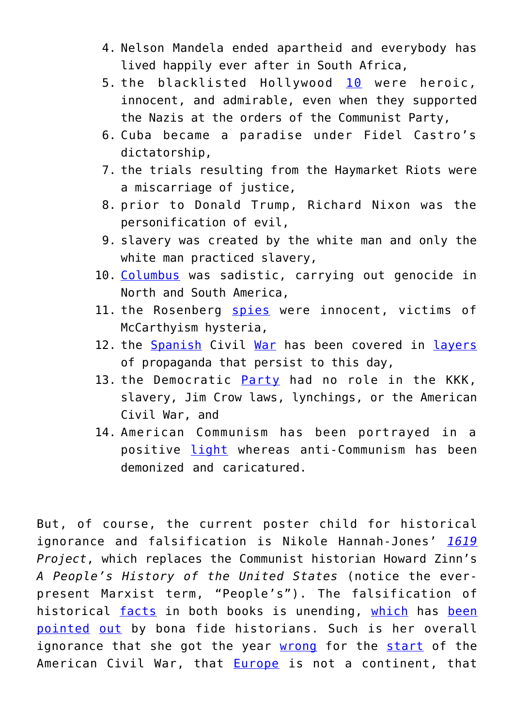- 4. Nelson Mandela ended apartheid and everybody has lived happily ever after in South Africa,
- 5. the blacklisted Hollywood [10](https://www.amazon.com/Hollywood-Traitors-Blacklisted-Screenwriters-Agents/dp/1621572064/ref=sr_1_1?crid=3V15FEVVVPJTE&keywords=hollywood+traitors&qid=1649858279&sprefix=hollywood+traitors%2Caps%2C98&sr=8-1) were heroic, innocent, and admirable, even when they supported the Nazis at the orders of the Communist Party,
- 6. Cuba became a paradise under Fidel Castro's dictatorship,
- 7. the trials resulting from the Haymarket Riots were a miscarriage of justice,
- 8. prior to Donald Trump, Richard Nixon was the personification of evil,
- 9. slavery was created by the white man and only the white man practiced slavery,
- 10. [Columbus](https://spectator.org/historical-falsification-columbus-crimes/) was sadistic, carrying out genocide in North and South America,
- 11. the Rosenberg [spies](https://www.americanthinker.com/blog/2017/07/the_rosenberg_story_never_changes.html) were innocent, victims of McCarthyism hysteria,
- 12. the [Spanish](https://www.orwellfoundation.com/the-orwell-foundation/orwell/essays-and-other-works/looking-back-on-the-spanish-war/) Civil [War](https://www.amazon.com/Los-Mitos-Guerra-Civil-Spanish/dp/8497340930/ref=sr_1_1?crid=2SMWETJBVKTKS&keywords=myths+of+the+spanish+civil+war&qid=1648743445&s=books&sprefix=myths+of+the+spanish+civil+war%2Cstripbooks%2C93&sr=1-1) has been covered in [layers](https://www.amazon.com/Comrades-Commissars-Lincoln-Battalion-Spanish/dp/0271058714/ref=sr_1_1?crid=HLIGFM2P83ST&keywords=comrades+and+commissars&qid=1648743174&s=books&sprefix=comrades+and+commissars%2Cstripbooks%2C91&sr=1-1) of propaganda that persist to this day,
- 13. the Democratic [Party](https://www.newsbusters.org/blogs/nb/scott-whitlock/2020/07/01/fake-history-usa-today-pretends-democrats-didnt-found-kkk-start) had no role in the KKK, slavery, Jim Crow laws, lynchings, or the American Civil War, and
- 14. American Communism has been portrayed in a positive [light](https://www.amazon.com/Comrades-Commissars-Lincoln-Battalion-Spanish/dp/0271058714/ref=sr_1_1?crid=HLIGFM2P83ST&keywords=comrades+and+commissars&qid=1648743174&s=books&sprefix=comrades+and+commissars%2Cstripbooks%2C91&sr=1-1) whereas anti-Communism has been demonized and caricatured.

But, of course, the current poster child for historical ignorance and falsification is Nikole Hannah-Jones' *[1619](https://www.americanthinker.com/articles/2019/08/we_must_say_no_to_the_1619_project_in_schools_comments.html) Project*, which replaces the Communist historian Howard Zinn's *A People's History of the United States* (notice the everpresent Marxist term, "People's"). The falsification of historical [facts](https://thefederalist.com/2021/08/05/the-1619-project-conveniently-overlooks-racist-past-of-the-democratic-party/?utm_source=newsletter&utm_medium=email&utm_campaign=the_federalist_daily_briefing_2021_08_05&utm_term=2021-08-07) in both books is unending, [which](https://thefederalist.com/2019/08/23/slavery-america-not-begin-1619-things-nyts-project-gets-wrong/?utm_source=The+Federalist+List&utm_campaign=d47657f787-RSS_The_Federalist_Daily_Updates_w_Transom&utm_medium=email&utm_term=0_cfcb868ceb-d47657f787-83920093) has [been](https://www.washingtonexaminer.com/news/not-the-way-to-do-history-princeton-university-historian-blasts-1619-project-as-historical-sloppiness-unworthy-of-pulitzer?utm_source=Examiner%20Today_05/06/2020&utm_medium=email&utm_campaign=WEX_Examiner%20Today&rid=10166) [pointed](https://dailycaller.com/2019/12/22/historians-rip-nyt-request-correction-1619-project/) [out](https://thefederalist.com/2021/10/01/debunking-the-1619-project-reveals-the-difference-between-history-and-propaganda/?utm_source=newsletter&utm_medium=email&utm_campaign=the_federalist_daily_briefing_2021_10_01&utm_term=2021-10-01) by bona fide historians. Such is her overall ignorance that she got the year [wrong](https://www.breitbart.com/education/2022/01/06/nikole-hannah-jones-to-critics-on-her-error-tweeting-incorrect-year-for-start-of-civil-war-it-is-what-it-is/) for the [start](https://www.breitbart.com/education/2022/01/06/nikole-hannah-jones-to-critics-on-her-error-tweeting-incorrect-year-for-start-of-civil-war-it-is-what-it-is/) of the American Civil War, that **[Europe](https://www.washingtonexaminer.com/news/1619-project-authors-latest-theory-racist-to-think-europe-is-a-continent)** is not a continent, that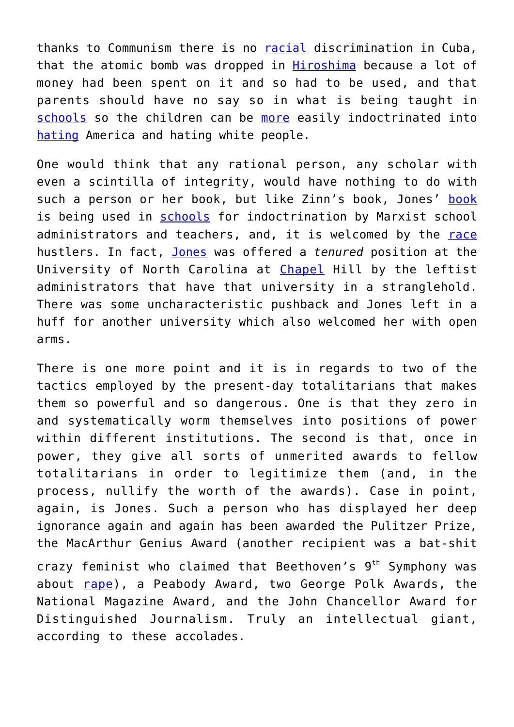thanks to Communism there is no [racial](https://notthebee.com/article/nikole-hannah-jones-says-communist-cuba-where-you-can-be-killed-for-wrongthink-has-the-least-inequality-and-has-ended-codified-racism-) discrimination in Cuba, that the atomic bomb was dropped in [Hiroshima](https://www.breitbart.com/politics/2021/11/12/nolte-pulitzer-winning-historian-nikole-hannah-jones-deletes-dumbest-possible-hiroshima-hot-take/) because a lot of money had been spent on it and so had to be used, and that parents should have no say so in what is being taught in [schools](https://thefederalist.com/2021/12/28/nikole-hannah-jones-says-what-the-rest-of-the-left-wont-admit-out-loud/?utm_source=rss&utm_medium=rss&utm_campaign=nikole-hannah-jones-says-what-the-rest-of-the-left-wont-admit-out-loud&utm_term=2021-12-29) so the children can be [more](https://www.bizpacreview.com/2021/12/30/dr-carol-swain-1619-projects-nikole-hannah-jones-outed-herself-as-an-author-of-creative-fiction-1182350/?utm_medium=Newsletter&utm_source=Get%20Response&utm_term=EMAIL&utm_content=Newsletter&utm_campaign=bizpac) easily indoctrinated into [hating](https://www.bizpacreview.com/2022/04/11/historically-inaccurate-1619-project-perfect-tool-for-making-angry-anti-american-activists-critic-says-1224353/?utm_medium=Newsletter&utm_source=Get%20Response&utm_term=EMAIL&utm_content=Newsletter&utm_campaign=bizpac) America and hating white people.

One would think that any rational person, any scholar with even a scintilla of integrity, would have nothing to do with such a person or her book, but like Zinn's book, Jones' [book](https://amgreatness.com/2020/02/03/universities-are-complicit-in-1619-projects-disgusting-swindle) is being used in [schools](https://www.frontpagemag.com/fpm/2022/03/big-money-behind-push-1619-project-education-mary-grabar/) for indoctrination by Marxist school administrators and teachers, and, it is welcomed by the [race](https://www.newsbusters.org/blogs/nb/donovan-newkirk/2021/01/26/race-baiter-sharpton-hails-fake-history-nyts-1619-project) hustlers. In fact, [Jones](https://thefederalist.com/2021/07/02/academics-explain-why-nikole-hannah-joness-tenure-at-unc-is-bogus/?utm_source=newsletter&utm_medium=email&utm_campaign=the_federalist_daily_briefing_2021_07_03&utm_term=2021-07-03) was offered a *tenured* position at the University of North Carolina at [Chapel](https://thefederalist.com/2021/07/02/elevating-nikole-hannah-jones-is-about-the-left-redefining-truth/?utm_source=newsletter&utm_medium=email&utm_campaign=the_federalist_daily_briefing_2021_07_03&utm_term=2021-07-03) Hill by the leftist administrators that have that university in a stranglehold. There was some uncharacteristic pushback and Jones left in a huff for another university which also welcomed her with open arms.

There is one more point and it is in regards to two of the tactics employed by the present-day totalitarians that makes them so powerful and so dangerous. One is that they zero in and systematically worm themselves into positions of power within different institutions. The second is that, once in power, they give all sorts of unmerited awards to fellow totalitarians in order to legitimize them (and, in the process, nullify the worth of the awards). Case in point, again, is Jones. Such a person who has displayed her deep ignorance again and again has been awarded the Pulitzer Prize, the MacArthur Genius Award (another recipient was a bat-shit crazy feminist who claimed that Beethoven's  $9<sup>th</sup>$  Symphony was about [rape](https://www.liquisearch.com/susan_mcclary/the_beethoven_and_rape_controversy)), a Peabody Award, two George Polk Awards, the National Magazine Award, and the John Chancellor Award for Distinguished Journalism. Truly an intellectual giant, according to these accolades.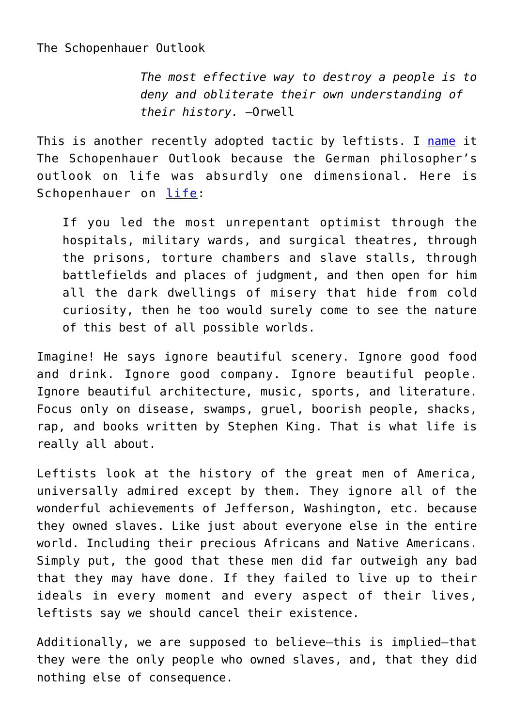The Schopenhauer Outlook

*The most effective way to destroy a people is to deny and obliterate their own understanding of their history.* —Orwell

This is another recently adopted tactic by leftists. I [name](https://www.amazon.com/Sex-Science-Beethoven-Could-Anyone-ebook/dp/B088M3HVK1/ref=sr_1_1?crid=1AACE23XA94KY&keywords=sex+science+and+beethoven&qid=1648862224&s=books&sprefix=sex+science+and+beethoven%2Cstripbooks%2C128&sr=1-1) it The Schopenhauer Outlook because the German philosopher's outlook on life was absurdly one dimensional. Here is Schopenhauer on [life](https://aeon.co/essays/for-schopenhauer-happiness-is-a-state-of-semi-satisfaction):

If you led the most unrepentant optimist through the hospitals, military wards, and surgical theatres, through the prisons, torture chambers and slave stalls, through battlefields and places of judgment, and then open for him all the dark dwellings of misery that hide from cold curiosity, then he too would surely come to see the nature of this best of all possible worlds.

Imagine! He says ignore beautiful scenery. Ignore good food and drink. Ignore good company. Ignore beautiful people. Ignore beautiful architecture, music, sports, and literature. Focus only on disease, swamps, gruel, boorish people, shacks, rap, and books written by Stephen King. That is what life is really all about.

Leftists look at the history of the great men of America, universally admired except by them. They ignore all of the wonderful achievements of Jefferson, Washington, etc. because they owned slaves. Like just about everyone else in the entire world. Including their precious Africans and Native Americans. Simply put, the good that these men did far outweigh any bad that they may have done. If they failed to live up to their ideals in every moment and every aspect of their lives, leftists say we should cancel their existence.

Additionally, we are supposed to believe—this is implied—that they were the only people who owned slaves, and, that they did nothing else of consequence.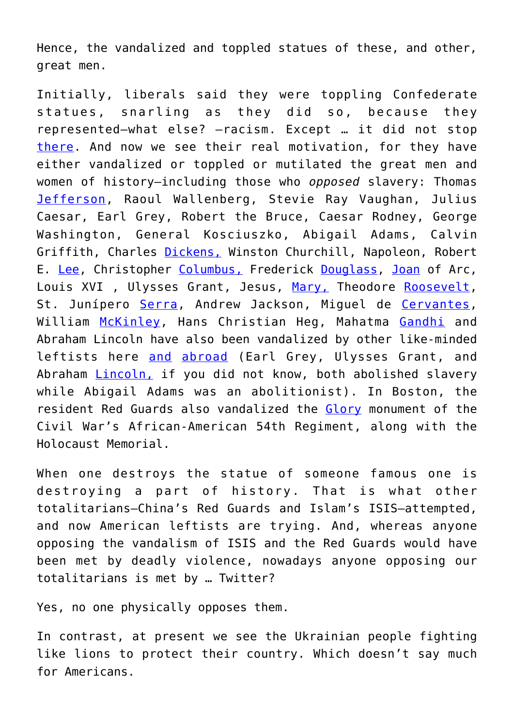Hence, the vandalized and toppled statues of these, and other, great men.

Initially, liberals said they were toppling Confederate statues, snarling as they did so, because they represented—what else? —racism. Except … it did not stop [there.](https://issuesinsights.com/2020/06/24/what-happens-after-all-the-statues-come-down-the-chavez-ification-of-america/) And now we see their real motivation, for they have either vandalized or toppled or mutilated the great men and women of history—including those who *opposed* slavery: Thomas [Jefferson,](https://dailycaller.com/2021/11/22/city-hall-removes-statue-thomas-jefferson-history-slave-owner/?utm_source=piano&utm_medium=email&utm_campaign=2906&pnespid=r754UXVJP7EX1vrZoze1Aszcrh_oRYR5Mey1xvZ3tRFmU0joPofgNMu2TaDdcy.Hb.HQsPP2) Raoul Wallenberg, Stevie Ray Vaughan, Julius Caesar, Earl Grey, Robert the Bruce, Caesar Rodney, George Washington, General Kosciuszko, Abigail Adams, Calvin Griffith, Charles [Dickens,](https://www.frontpagemag.com/fpm/2021/10/we-havent-been-invaded-barbarians-armando-sim%C3%B3n/) Winston Churchill, Napoleon, Robert E. [Lee,](https://www.cbsnews.com/news/robert-e-lee-statue-removed-richmond-virginia-capital/) Christopher [Columbus,](https://spectator.org/historical-falsification-columbus-crimes/) Frederick [Douglass](https://www.washingtonexaminer.com/news/frederick-douglass-statue-in-new-york-removed-from-base-and-damaged?utm_source=Examiner%20Today_07/06/2020&utm_medium=email&utm_campaign=WEX_Examiner%20Today&rid=10166), [Joan](https://aleteia.org/2017/08/17/joan-of-arc-caught-up-in-statue-toppling-movement/) of Arc, Louis XVI , Ulysses Grant, Jesus, [Mary,](https://www.boston.com/news/crime/2020/07/12/mary-statue-dorchester-arson-investigation/) Theodore [Roosevelt,](https://www.breitbart.com/politics/2020/06/21/teddy-roosevelt-statue-to-be-removed-from-museum-of-natural-history/) St. Junípero [Serra](https://thefederalist.com/2020/06/23/everywhere-statues-are-torn-down-by-the-mob-history-promises-people-are-next/), Andrew Jackson, Miguel de [Cervantes,](https://www.expansion.com/sociedad/2020/06/20/5eee4837468aebc37e8b457e.html) William [McKinley](https://www.gopusa.com/statues-of-columbus-washington-and-lincoln-among-lightfootss-list-of-40-controversial-monuments/), Hans Christian Heg, Mahatma [Gandhi](https://www.frontpagemag.com/fpm/2021/10/we-havent-been-invaded-barbarians-armando-sim%C3%B3n/) and Abraham Lincoln have also been vandalized by other like-minded leftists here [and](https://www.breitbart.com/europe/2021/01/13/historical-wokery-british-war-heros-statue-set-to-be-removed-by-blm-inspired-council/) [abroad](https://venezuelanalysis.com/analysis/755?artno=1300) (Earl Grey, Ulysses Grant, and Abraham [Lincoln,](https://www.washingtonexaminer.com/news/we-are-tearing-this-statue-down-protesters-target-memorial-to-emancipated-slaves?utm_source=Examiner%20Today_06/24/2020&utm_medium=email&utm_campaign=WEX_Examiner%20Today&rid=10166) if you did not know, both abolished slavery while Abigail Adams was an abolitionist). In Boston, the resident Red Guards also vandalized the [Glory](https://cms.frontpagemag.com/fpm/2020/06/there-are-heroes-whose-statues-black-lives-matter-daniel-greenfield) monument of the Civil War's African-American 54th Regiment, along with the Holocaust Memorial.

When one destroys the statue of someone famous one is destroying a part of history. That is what other totalitarians—China's Red Guards and Islam's ISIS—attempted, and now American leftists are trying. And, whereas anyone opposing the vandalism of ISIS and the Red Guards would have been met by deadly violence, nowadays anyone opposing our totalitarians is met by … Twitter?

Yes, no one physically opposes them.

In contrast, at present we see the Ukrainian people fighting like lions to protect their country. Which doesn't say much for Americans.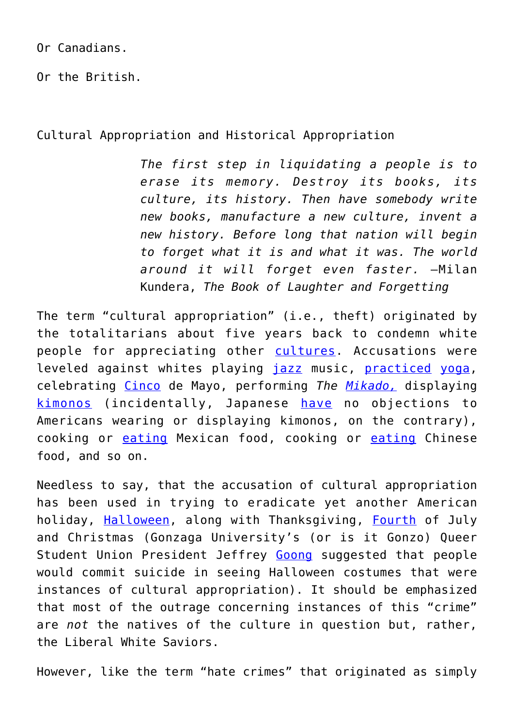Or Canadians.

Or the British.

Cultural Appropriation and Historical Appropriation

*The first step in liquidating a people is to erase its memory. Destroy its books, its culture, its history. Then have somebody write new books, manufacture a new culture, invent a new history. Before long that nation will begin to forget what it is and what it was. The world around it will forget even faster.* —Milan Kundera, *The Book of Laughter and Forgetting*

The term "cultural appropriation" (i.e., theft) originated by the totalitarians about five years back to condemn white people for appreciating other [cultures.](https://www.americanthinker.com/blog/2021/04/stop_me_before_i_steal_another_culture.html) Accusations were leveled against whites playing [jazz](https://www.amherst.edu/media/view/91803/original/Hall%252B-%252BAfrican-American%252BMusic%252B-%252BDynamics%252Bof%252BAppropriation%252Band%252BInnovation.pdf) music, [practiced](https://fox40.com/news/local-news/yoga-studio-black-lives-matter-dispute-over-advertised-rap-yoga-class/) [yoga,](https://www.kzoo.edu/praxis/yoga/#Lillie) celebrating [Cinco](https://www.campusreform.org/?ID=10859&utm_campaign=CampusWire&utm_source=hs_email&utm_medium=email&utm_content=62718443&_hsenc=p2ANqtz-_Tuk9bvLRqgNsE0GBDCTZxxAi-TivmWjjuUEkt3-k0ckddmmo89vce8cYcB2DXt03H2WbzgO5W-Cl55g0webwJzhCuXQ&_hsmi=62718443) de Mayo, performing *The [Mikado,](https://www.campusreform.org/?ID=10797)* displaying [kimonos](https://whyevolutionistrue.com/2016/02/24/kimono-wednesdays-cancelled-at-bostons-museum-of-fine-arts-panel-convened-to-discuss-this-cultural-appropriation/) (incidentally, Japanese [have](https://www.youtube.com/watch?v=0pXotxxYFlk) no objections to Americans wearing or displaying kimonos, on the contrary), cooking or [eating](https://www.uhclthesignal.com/wordpress/2018/10/15/cultural-appropriation-vs-appreciation-dont-tex-mex-mexican-food/) Mexican food, cooking or [eating](https://time.com/5620471/chinese-food-cultural-appropriation/) Chinese food, and so on.

Needless to say, that the accusation of cultural appropriation has been used in trying to eradicate yet another American holiday, [Halloween,](https://dailycaller.com/2018/10/22/a-politically-correct-halloween/) along with Thanksgiving, [Fourth](https://www.americanthinker.com/blog/2018/12/the_war_on_christmas_and_thanksgiving_and_columbus_day_and.html) of July and Christmas (Gonzaga University's (or is it Gonzo) Queer Student Union President Jeffrey [Goong](https://www.campusreform.org/?ID=11446&utm_campaign=CampusWire&utm_source=hs_email&utm_medium=email&utm_content=67009434&_hsenc=p2ANqtz-9PaWd8kfQfhsUY5v3r3P5MLhY-C54oBpZ2MMH6ES1-X3gS264JmJS0fB36NLtfsQRgL0mVezREEGIetdlTTh7IRiey-w&_hsmi=67009434) suggested that people would commit suicide in seeing Halloween costumes that were instances of cultural appropriation). It should be emphasized that most of the outrage concerning instances of this "crime" are *not* the natives of the culture in question but, rather, the Liberal White Saviors.

However, like the term "hate crimes" that originated as simply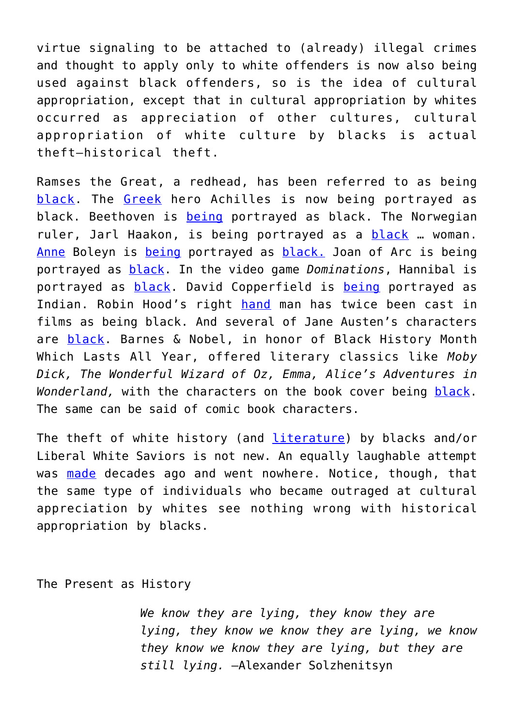virtue signaling to be attached to (already) illegal crimes and thought to apply only to white offenders is now also being used against black offenders, so is the idea of cultural appropriation, except that in cultural appropriation by whites occurred as appreciation of other cultures, cultural appropriation of white culture by blacks is actual theft—historical theft.

Ramses the Great, a redhead, has been referred to as being [black.](https://atlantablackstar.com/2016/01/14/ramses-great-black-man-nile-pride-africa/) The [Greek](https://aeon.co/essays/when-homer-envisioned-achilles-did-he-see-a-black-man?utm_source=Aeon+Newsletter&utm_campaign=63d9f9bad7-EMAIL_CAMPAIGN_2018_12_19_12_42&utm_medium=email&utm_term=0_411a82e59d-63d9f9bad7-69519345) hero Achilles is now being portrayed as black. Beethoven is [being](https://www.breitbart.com/europe/2020/12/18/brussels-art-centre-celebrates-black-beethoven-birthday/) portrayed as black. The Norwegian ruler, Jarl Haakon, is being portrayed as a [black](https://notthebee.com/article/-netflix-turned-jarl-haakon-the-last-pagan-ruler-of-norway-into-a-black-woman-in-its-new-vikings-show) … woman. [Anne](https://www.youtube.com/watch?v=3lO_u37JWZo) Boleyn is [being](https://www.takimag.com/article/all-the-worlds-a-stage/) portrayed as [black.](https://www.smithsonianmag.com/smart-news/who-was-first-woman-color-bring-anne-boleyns-story-screen-180977882/) Joan of Arc is being portrayed as [black.](https://www.bbc.com/news/world-europe-43168244) In the video game *Dominations*, Hannibal is portrayed as [black.](https://www.theguardian.com/film/2018/aug/17/why-dev-patel-in-dickens-could-change-film-for-ever) David Copperfield is [being](https://www.theguardian.com/film/2018/aug/17/why-dev-patel-in-dickens-could-change-film-for-ever) portrayed as Indian. Robin Hood's right [hand](https://aelarsen.wordpress.com/2015/12/26/robin-hood-princes-of-thieves-black-muslims-in-medieval-england/) man has twice been cast in films as being black. And several of Jane Austen's characters are [black](https://www.americanthinker.com/blog/2021/01/embridgertonem_and_racism.html). Barnes & Nobel, in honor of Black History Month Which Lasts All Year, offered literary classics like *Moby Dick, The Wonderful Wizard of Oz, Emma, Alice's Adventures in Wonderland,* with the characters on the book cover being [black.](https://www.huffpost.com/entry/barnes-noble-black-history-month_n_5e3b5eb7c5b6bb0ffc0abfd7) The same can be said of comic book characters.

The theft of white history (and [literature\)](https://www.rt.com/news/553378-university-removes-jane-austen/) by blacks and/or Liberal White Saviors is not new. An equally laughable attempt was [made](https://www.amazon.com/Not-Out-Africa-Afrocentrism-Republic/dp/046509838X/ref=sr_1_1?crid=30OHRVMEF9FAB&keywords=not+out+of+africa&qid=1649009200&sprefix=not+out+of+africa%2Caps%2C249&sr=8-1) decades ago and went nowhere. Notice, though, that the same type of individuals who became outraged at cultural appreciation by whites see nothing wrong with historical appropriation by blacks.

The Present as History

*We know they are lying, they know they are lying, they know we know they are lying, we know they know we know they are lying, but they are still lying.* —Alexander Solzhenitsyn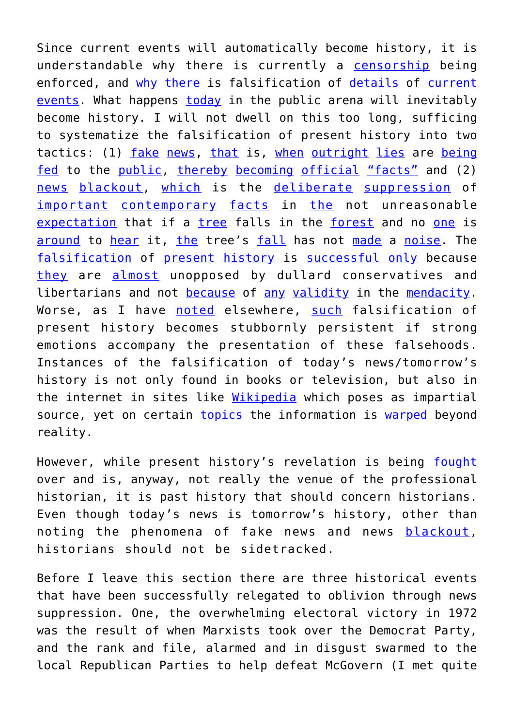Since current events will automatically become history, it is understandable why there is currently a [censorship](https://www.breitbart.com/tech/2020/11/06/twitters-censors-rand-paul-post-about-historical-voter-fraud-then-uncensors-it/) being enforced, and [why](https://dailycaller.com/2018/12/13/history-red-christmas-trees/) [there](https://www.thegatewaypundit.com/2022/01/disgraceful-msnbc-host-calls-historic-canadian-trucker-convoy-cult-video/?utm_source=Email&utm_medium=the-gateway-pundit&utm_campaign=dailyam&utm_content=daily) is falsification of [details](https://amgreatness.com/2022/03/28/the-secret-leftist-plot-to-restore-kavanaughs-and-my-reputation/) of [current](https://www.breitbart.com/tech/2020/07/07/wikipedia-editors-censor-rayshard-brooks-criminal-history/) [events.](https://www.washingtonexaminer.com/opinion/abc-news-distorts-history-facts-to-defend-joe-bidens-stalled-agenda?utm_source=deployer&utm_medium=email&utm_campaign=Beltway+Confidential&utm_term=Postup) What happens [today](https://americanwirenews.com/black-lives-matter-shows-how-liberal-groups-weaponize-social-media-censorship/?utm_medium=Newsletter&utm_source=Get%20Response&utm_term=EMAIL&utm_content=Newsletter&utm_campaign=bizpac) in the public arena will inevitably become history. I will not dwell on this too long, sufficing to systematize the falsification of present history into two tactics: (1) [fake](https://rumble.com/vpguuz-the-10-biggest-lies-about-kyle-rittenhouse-case-debunked.html?mref=6zof&mc=dgip3&utm_source=newsletter&utm_medium=email&utm_campaign=The+Quartering&ep=2) [news](https://thefederalist.com/2021/09/22/the-white-house-and-medias-border-lies-are-collapsing-live-on-tv/?utm_source=newsletter&utm_medium=email&utm_campaign=the_federalist_daily_briefing_2021_09_23&utm_term=2021-09-23), [that](https://hotair.com/archives/jazz-shaw/2021/02/28/nbc-rushes-explain-crimes-asians-arent-always-hate-crimes/?utm_source=piano&utm_medium=email&utm_campaign=2906&pnespid=2LE0q6NAGlaNlKOpuJQFSa_VJ.bphrF1GutwOP5g) is, [when](https://thefederalist.com/2020/09/14/cnn-erases-bay-of-pigs-award-to-accuse-trump-of-making-it-up/) [outright](https://thefederalist.com/2021/09/27/new-york-times-invents-yet-another-false-story-to-smear-trump-administration/?utm_source=newsletter&utm_medium=email&utm_campaign=the_federalist_daily_briefing_2021_09_27&utm_term=2021-10-09) [lies](https://www.americanthinker.com/blog/2021/05/schadenfreude_overload_ny_times_covid_beat_reporter_discredits_her_own_coverage_and_then_deletes_smoking_gun_tweet.html) are [being](https://www.thegatewaypundit.com/2021/04/cbs-news-edits-police-bodycam-footage-right-left-edges-trimmed-away-omit-portion-video-13-yr-old-adam-toledo-seen-holding-firearm/?utm_source=Email&utm_medium=the-gateway-pundit&utm_campaign=dailypm&utm_content=daily) [fed](https://notthebee.com/article/media-carried-out-a-massive-industrial-grade-fake-news-operation-in-virginia-last-week-and-now-theyre-being-forced-to-correct-the-record) to the [public](https://www.dailymail.co.uk/news/article-10088027/Katie-Couric-admits-editing-Ruth-Bader-Ginsburg-interview-protect-late-justice.html), [thereby](https://www.newsbusters.org/blogs/nb/nicholas-fondacaro/2020/12/06/deceitful-nbc-edits-video-restaurant-owner-exposing-nbc) [becoming](https://www.newsbusters.org/blogs/nb/geoffrey-dickens/2020/11/16/cnn-and-msnbc-blame-trump-supporters-violence-million-maga) [official](https://www.thegatewaypundit.com/2021/05/years-harassing-president-united-states-donald-trump-ny-times-finally-admits-lie-behind-corrupt-mueller-investigation-including-peepee-lie-never-materializ/?utm_source=Email&utm_medium=the-gateway-pundit&utm_campaign=dailyam&utm_content=daily) ["facts"](https://www.thegatewaypundit.com/2021/04/breaking-project-veritas-cnn-director-admits-network-engaged-propaganda-remove-trump-presidency-video/?utm_source=Email&utm_medium=the-gateway-pundit&utm_campaign=dailypm&utm_content=daily) and (2) [news](https://dailycaller.com/2021/06/10/anti-trump-corporate-media-lafayette-square-mlk-bust-wiretapped-nice-people-white-supremacy-fake-news/?utm_source=piano&utm_medium=email&utm_campaign=2360&tpcc%3D=newsletter&pnespid=ivs3q6ZRXx2N6NBnu.lNSzIJyXjuHEbSPYz0.ydv) [blackout](https://www.theepochtimes.com/mkt_morningbrief/project-veritas-releases-fox-26-reporters-censorship-clips_3860419.html?utm_source=Morningbrief&utm_medium=email&utm_campaign=mb-2021-06-16&mktids=9c40eec5ae565e091e76fb95ae00c2dd&est=jq%2Ftu2o3PsC0K9hHlcKVHqbope9Zn1IunJ3kzNuZUo3tlV1764IpYShMV9XynA%3D%3D), [which](https://www.newsbusters.org/blogs/nb/nicholas-fondacaro/2021/10/25/washpost-stealth-edited-loudoun-rape-story-gender-fluid) is the [deliberate](https://www.newsbusters.org/blogs/nb/nicholas-fondacaro/2021/09/16/cbs-nbc-disregard-durham-indictment-lawyer-tied-dnc-clinton) [suppression](https://notthebee.com/article/the-hunter-biden-cover-up-shows-how-far-gone-our-media-is) of [important](https://thefederalist.com/2021/01/25/here-are-all-the-riots-that-democrats-and-the-media-are-choosing-to-ignore/) [contemporary](https://www.newsbusters.org/blogs/nb/tim-graham/2021/12/08/column-networks-skip-trouble-kamalas-camp) [facts](https://www.newsbusters.org/blogs/nb/brad-wilmouth/2020/11/29/media-ignore-murder-illegal-alien-who-could-have-been-deported) in [the](https://www.thegatewaypundit.com/2022/01/jan-6-remembered-ignored-media-elites-fbi-list-20-individuals-capitol-january-6th-appear-connected-antifa-far-left-groups/?utm_source=Email&utm_medium=the-gateway-pundit&utm_campaign=dailyam&utm_content=daily) not unreasonable [expectation](https://www.newsbusters.org/blogs/nb/bill-dagostino/2022/02/22/video-behold-all-nonsense-networks-covered-instead-durham) that if a [tree](https://www.americanthinker.com/blog/2021/12/pharma_scientists_admit_the_covid_vaccines_can_cause_blood_clots.html) falls in the [forest](https://www.thegatewaypundit.com/2021/12/big-lie-powers-overcount-covid-deaths-undercount-vaccine-deaths-money-power/?utm_source=Email&utm_medium=the-gateway-pundit&utm_campaign=dailypm&utm_content=daily) and no [one](https://www.americanthinker.com/blog/2021/09/jet_blue_passenger_chokes_flight_attendant_storms_cockpit_but_most_media_most_neglect_to_mention_he_shouted_allah_as_he_attempted_to_hijack_the_plane.html) is [around](https://www.americanthinker.com/blog/2021/10/suspect_arrested_for_assassinating_brit_mp_is_finally_named_by_police_but_the_new_york_times_wont_print_his_name_ali_harbi_ali.html) to [hear](https://notthebee.com/article/surprise-surprise-entire-corporate-media-refuses-to-cover-johns-hopkins-study-showing-that-lockdowns-were-pointless) it, [the](https://amgreatness.com/2022/01/10/the-likely-cause-of-the-media-blackout-on-imploding-whitmer-kidnapping-plot/) tree's [fall](https://www.manhattan-institute.org/why-cant-we-talk-about-the-murder-wave) has not [made](https://www.bizpacreview.com/2022/01/20/heres-how-disgraceful-lib-media-whitewashed-and-outright-ignored-horrific-stabbing-of-brianna-kupfer-1190979/?utm_medium=Newsletter&utm_source=Get%20Response&utm_term=EMAIL&utm_content=Newsletter&utm_campaign=bizpac) a [noise.](https://www.takimag.com/article/straight-shooters/) The [falsification](https://www.theepochtimes.com/media-caught-in-a-cover-up-of-hunter-bidens-laptop-story-sen-johnson_4380698.html?utm_source=News&utm_campaign=breaking-2022-04-04-1&utm_medium=email2&est=oVhvld26AP%2FOBvvYuRXSJ68pRl2nThMzkknRddQiTPRCd%2FUZPqdr%2FW6uDCUTXQ%3D%3D) of [present](https://www.takimag.com/article/yellow-imperil/) [history](https://www.theepochtimes.com/three-ways-americas-mainstream-media-resemble-communist-media_3599102.html?utm_source=news&utm_medium=email&utm_campaign=breaking-2020-11-30-4) is [successful](https://www.frontpagemag.com/fpm/2022/04/media-ripped-ignoring-christian-persecution-frontpagemagcom/) [only](https://www.thegatewaypundit.com/2022/01/jan-6-remembered-ignored-media-fbi-antifa-blm-activists-posting-photos-bragging-online-storming-us-capitol-jan-6/?utm_source=Email&utm_medium=the-gateway-pundit&utm_campaign=dailypm&utm_content=daily) because [they](https://www.washingtonexaminer.com/opinion/never-let-truth-get-in-the-way-of-a-good-woke-story?utm_source=deployer&utm_medium=email&utm_campaign=Beltway+Confidential&utm_term=www.washingtonexaminer.com&utm_content=20210402152416) are [almost](https://thefederalist.com/2020/10/24/joe-biden-says-democrats-created-the-most-extensive-and-inclusive-voter-fraud-organization-in-american-history/) unopposed by dullard conservatives and libertarians and not [because](https://www.newsbusters.org/blogs/nb/scott-whitlock/2022/04/04/last-two-months-nets-buried-border-crisis-and-its-about-get-much) of [any](https://www.bizpacreview.com/2022/04/05/blm-reportedly-scrambles-to-kill-story-covering-6m-california-home-purchased-with-donations-1221649/?utm_medium=Newsletter&utm_source=Get%20Response&utm_term=EMAIL&utm_content=Newsletter&utm_campaign=bizpac) [validity](https://notthebee.com/article/watch-rep-jim-jordan-drop-straight--on-the-house-floor-for-5-straight-minutes) in the [mendacity.](https://www.washingtonexaminer.com/opinion/democrats-and-the-left-wing-media-are-hiding-the-brooklyn-subway-shooters-history-of-racism-and-anti-white-bigotry?utm_source=deployer&utm_medium=email&utm_campaign=Beltway+Confidential&utm_term=Postup) Worse, as I have [noted](https://www.newenglishreview.org/articles/emotions-as-cement/?) elsewhere, [such](https://www.newsbusters.org/blogs/nb/bill-dagostino/2022/04/13/journalists-have-learned-nothing-laptop-fiasco-and-theyre-not) falsification of present history becomes stubbornly persistent if strong emotions accompany the presentation of these falsehoods. Instances of the falsification of today's news/tomorrow's history is not only found in books or television, but also in the internet in sites like [Wikipedia](https://nypost.com/2021/07/16/wikipedia-co-founder-says-site-is-now-propaganda-for-left-leaning-establishment/) which poses as impartial source, yet on certain *[topics](http://www.breitbart.com/tech/2017/05/09/uc-berkeley-students-label-trump-sexist-racist-during-wikipedia-edit-project/)* the information is [warped](https://www.americanthinker.com/blog/2018/10/the_wikipedia_illusion.html) beyond reality.

However, while present history's revelation is being [fought](https://www.newsbusters.org/blogs/nb/bill-dagostino/2022/04/07/video-media-fall-yet-another-jan-6-committee-nothingburger) over and is, anyway, not really the venue of the professional historian, it is past history that should concern historians. Even though today's news is tomorrow's history, other than noting the phenomena of fake news and news [blackout,](https://www.newsbusters.org/blogs/nb/scott-whitlock/2022/05/02/dont-mention-disinformation-networks-bury-bidens-orwellian-new) historians should not be sidetracked.

Before I leave this section there are three historical events that have been successfully relegated to oblivion through news suppression. One, the overwhelming electoral victory in 1972 was the result of when Marxists took over the Democrat Party, and the rank and file, alarmed and in disgust swarmed to the local Republican Parties to help defeat McGovern (I met quite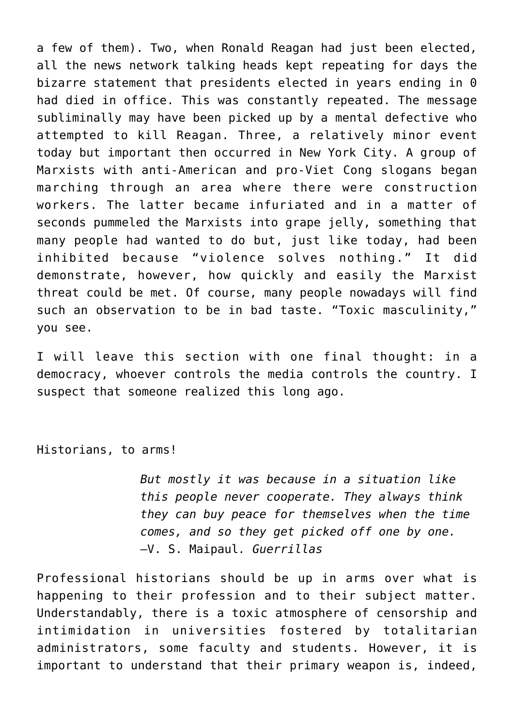a few of them). Two, when Ronald Reagan had just been elected, all the news network talking heads kept repeating for days the bizarre statement that presidents elected in years ending in 0 had died in office. This was constantly repeated. The message subliminally may have been picked up by a mental defective who attempted to kill Reagan. Three, a relatively minor event today but important then occurred in New York City. A group of Marxists with anti-American and pro-Viet Cong slogans began marching through an area where there were construction workers. The latter became infuriated and in a matter of seconds pummeled the Marxists into grape jelly, something that many people had wanted to do but, just like today, had been inhibited because "violence solves nothing." It did demonstrate, however, how quickly and easily the Marxist threat could be met. Of course, many people nowadays will find such an observation to be in bad taste. "Toxic masculinity," you see.

I will leave this section with one final thought: in a democracy, whoever controls the media controls the country. I suspect that someone realized this long ago.

Historians, to arms!

*But mostly it was because in a situation like this people never cooperate. They always think they can buy peace for themselves when the time comes, and so they get picked off one by one.* —V. S. Maipaul*. Guerrillas*

Professional historians should be up in arms over what is happening to their profession and to their subject matter. Understandably, there is a toxic atmosphere of censorship and intimidation in universities fostered by totalitarian administrators, some faculty and students. However, it is important to understand that their primary weapon is, indeed,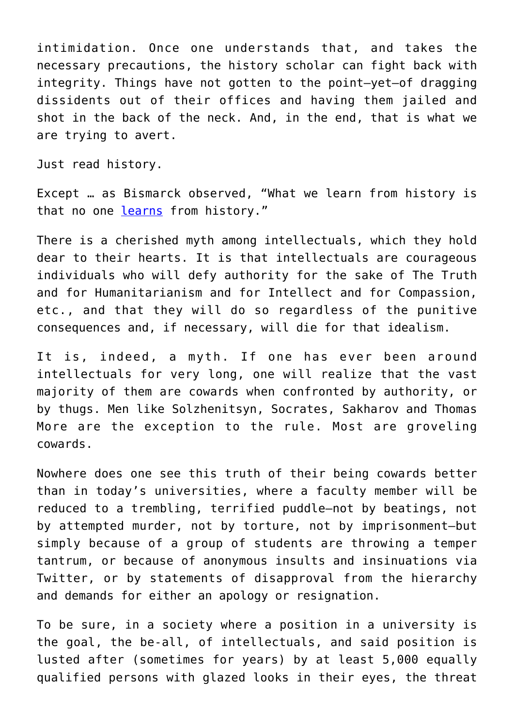intimidation. Once one understands that, and takes the necessary precautions, the history scholar can fight back with integrity. Things have not gotten to the point—yet—of dragging dissidents out of their offices and having them jailed and shot in the back of the neck. And, in the end, that is what we are trying to avert.

Just read history.

Except … as Bismarck observed, "What we learn from history is that no one [learns](https://quillette.com/2019/08/15/narrated-milan-kundera-warned-us-about-historical-amnesia-now-its-happening-again/) from history."

There is a cherished myth among intellectuals, which they hold dear to their hearts. It is that intellectuals are courageous individuals who will defy authority for the sake of The Truth and for Humanitarianism and for Intellect and for Compassion, etc., and that they will do so regardless of the punitive consequences and, if necessary, will die for that idealism.

It is, indeed, a myth. If one has ever been around intellectuals for very long, one will realize that the vast majority of them are cowards when confronted by authority, or by thugs. Men like Solzhenitsyn, Socrates, Sakharov and Thomas More are the exception to the rule. Most are groveling cowards.

Nowhere does one see this truth of their being cowards better than in today's universities, where a faculty member will be reduced to a trembling, terrified puddle—not by beatings, not by attempted murder, not by torture, not by imprisonment—but simply because of a group of students are throwing a temper tantrum, or because of anonymous insults and insinuations via Twitter, or by statements of disapproval from the hierarchy and demands for either an apology or resignation.

To be sure, in a society where a position in a university is the goal, the be-all, of intellectuals, and said position is lusted after (sometimes for years) by at least 5,000 equally qualified persons with glazed looks in their eyes, the threat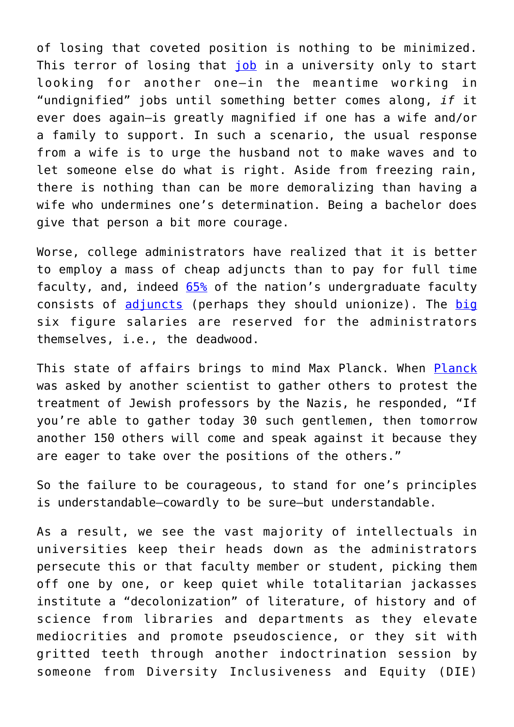of losing that coveted position is nothing to be minimized. This terror of losing that [job](https://forum.quillette.com/t/academic-exile-two-years-on/48252) in a university only to start looking for another one—in the meantime working in "undignified" jobs until something better comes along, *if* it ever does again—is greatly magnified if one has a wife and/or a family to support. In such a scenario, the usual response from a wife is to urge the husband not to make waves and to let someone else do what is right. Aside from freezing rain, there is nothing than can be more demoralizing than having a wife who undermines one's determination. Being a bachelor does give that person a bit more courage.

Worse, college administrators have realized that it is better to employ a mass of cheap adjuncts than to pay for full time faculty, and, indeed [65%](https://files.eric.ed.gov/fulltext/EJ1246736.pdf) of the nation's undergraduate faculty consists of [adjuncts](https://www.wfae.org/local-news/2016-05-16/colleges-increasingly-replacing-full-time-faculty-with-adjuncts) (perhaps they should unionize). The [big](https://genprogress.org/graphic-how-some-colleges-are-wasting-money/) six figure salaries are reserved for the administrators themselves, i.e., the deadwood.

This state of affairs brings to mind Max Planck. When [Planck](https://rumble.com/vwqbqd-the-alsos-project-and-the-rescue-of-max-planck-may-16-1945.html?mref=6zof&mc=dgip3&utm_source=newsletter&utm_medium=email&utm_campaign=The+History+Guy%3A+History+Deserves+to+be+Remembered&ep=2) was asked by another scientist to gather others to protest the treatment of Jewish professors by the Nazis, he responded, "If you're able to gather today 30 such gentlemen, then tomorrow another 150 others will come and speak against it because they are eager to take over the positions of the others."

So the failure to be courageous, to stand for one's principles is understandable—cowardly to be sure—but understandable.

As a result, we see the vast majority of intellectuals in universities keep their heads down as the administrators persecute this or that faculty member or student, picking them off one by one, or keep quiet while totalitarian jackasses institute a "decolonization" of literature, of history and of science from libraries and departments as they elevate mediocrities and promote pseudoscience, or they sit with gritted teeth through another indoctrination session by someone from Diversity Inclusiveness and Equity (DIE)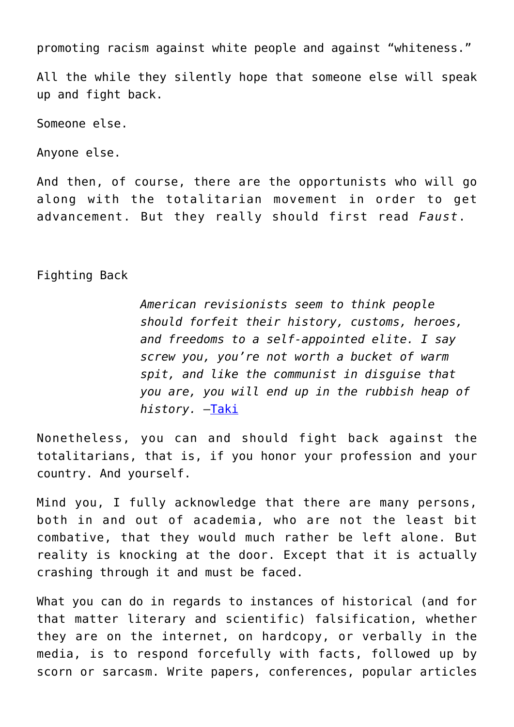promoting racism against white people and against "whiteness."

All the while they silently hope that someone else will speak up and fight back.

Someone else.

Anyone else.

And then, of course, there are the opportunists who will go along with the totalitarian movement in order to get advancement. But they really should first read *Faust*.

## Fighting Back

*American revisionists seem to think people should forfeit their history, customs, heroes, and freedoms to a self-appointed elite. I say screw you, you're not worth a bucket of warm spit, and like the communist in disguise that you are, you will end up in the rubbish heap of history.* —[Taki](https://www.takimag.com/article/heart-of-champions-night-of-fun/)

Nonetheless, you can and should fight back against the totalitarians, that is, if you honor your profession and your country. And yourself.

Mind you, I fully acknowledge that there are many persons, both in and out of academia, who are not the least bit combative, that they would much rather be left alone. But reality is knocking at the door. Except that it is actually crashing through it and must be faced.

What you can do in regards to instances of historical (and for that matter literary and scientific) falsification, whether they are on the internet, on hardcopy, or verbally in the media, is to respond forcefully with facts, followed up by scorn or sarcasm. Write papers, conferences, popular articles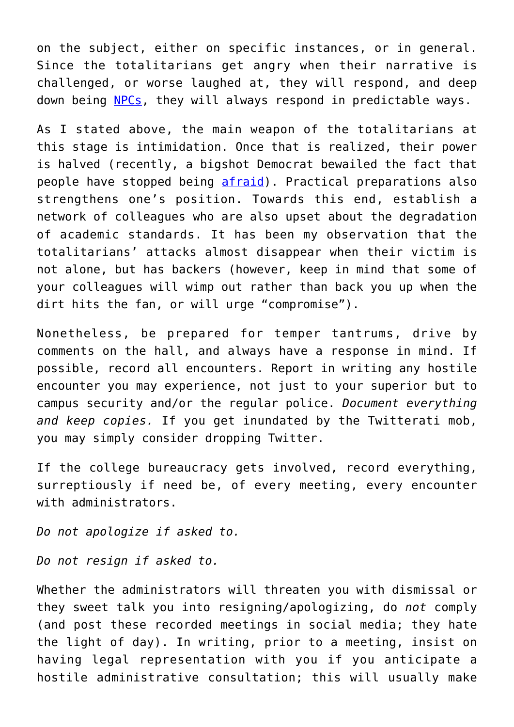on the subject, either on specific instances, or in general. Since the totalitarians get angry when their narrative is challenged, or worse laughed at, they will respond, and deep down being [NPCs](https://www.newenglishreview.org/articles/the-npc-meme/), they will always respond in predictable ways.

As I stated above, the main weapon of the totalitarians at this stage is intimidation. Once that is realized, their power is halved (recently, a bigshot Democrat bewailed the fact that people have stopped being [afraid](https://www.bizpacreview.com/2022/04/23/cant-govern-without-fear-carville-sparks-backlash-for-saying-the-problem-is-nobody-fears-dems-1229147/?utm_medium=Newsletter&utm_source=Get%20Response&utm_term=EMAIL&utm_content=Newsletter&utm_campaign=bizpac)). Practical preparations also strengthens one's position. Towards this end, establish a network of colleagues who are also upset about the degradation of academic standards. It has been my observation that the totalitarians' attacks almost disappear when their victim is not alone, but has backers (however, keep in mind that some of your colleagues will wimp out rather than back you up when the dirt hits the fan, or will urge "compromise").

Nonetheless, be prepared for temper tantrums, drive by comments on the hall, and always have a response in mind. If possible, record all encounters. Report in writing any hostile encounter you may experience, not just to your superior but to campus security and/or the regular police. *Document everything and keep copies.* If you get inundated by the Twitterati mob, you may simply consider dropping Twitter.

If the college bureaucracy gets involved, record everything, surreptiously if need be, of every meeting, every encounter with administrators.

*Do not apologize if asked to.*

*Do not resign if asked to.*

Whether the administrators will threaten you with dismissal or they sweet talk you into resigning/apologizing, do *not* comply (and post these recorded meetings in social media; they hate the light of day). In writing, prior to a meeting, insist on having legal representation with you if you anticipate a hostile administrative consultation; this will usually make